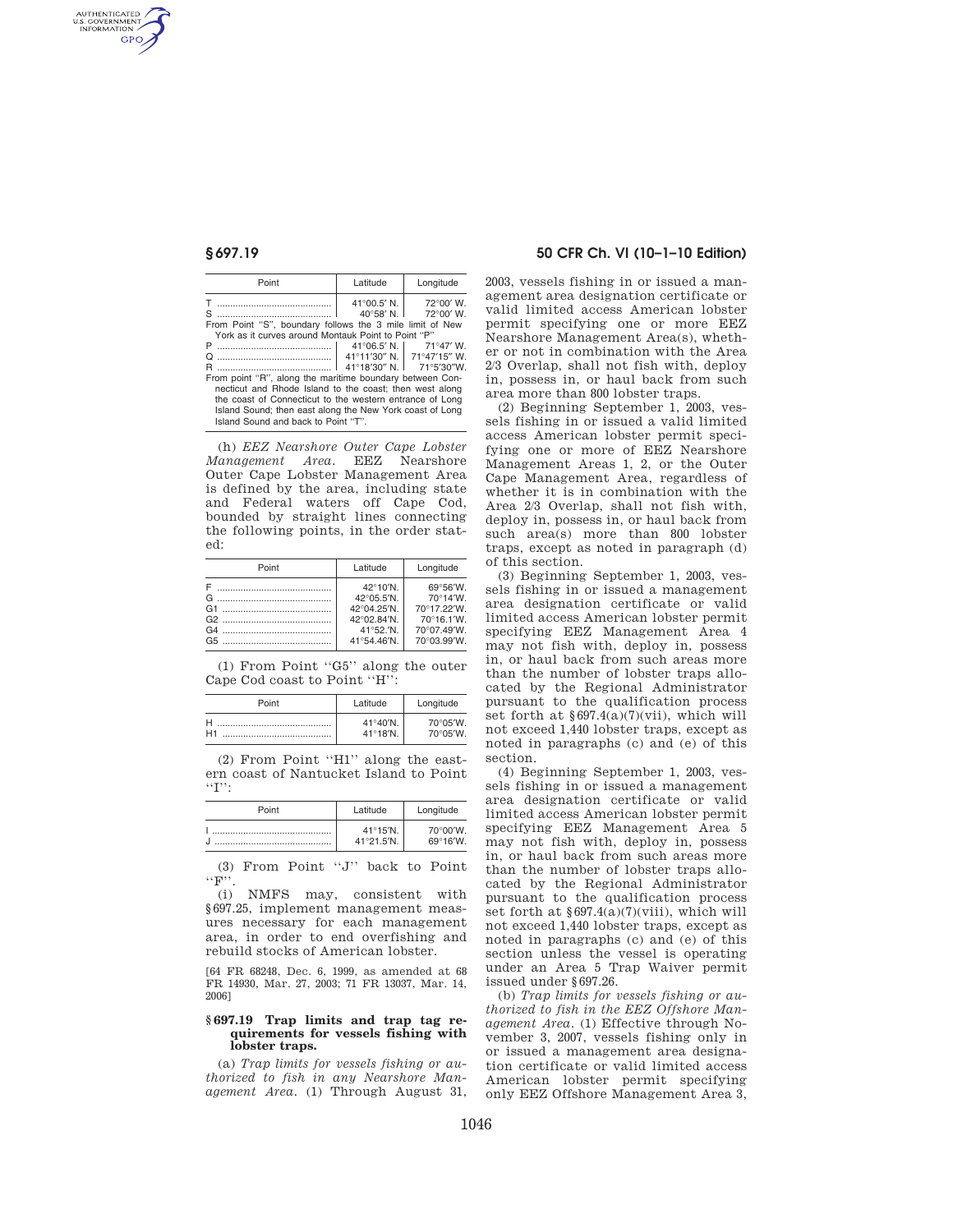AUTHENTICATED<br>U.S. GOVERNMENT<br>INFORMATION **GPO** 

| Point                                                                                                                                                                           | Latitude             | Longitude                                                      |  |
|---------------------------------------------------------------------------------------------------------------------------------------------------------------------------------|----------------------|----------------------------------------------------------------|--|
| S<br>From Point "S", boundary follows the 3 mile limit of New                                                                                                                   | $41^{\circ}00.5'$ N. | $72^{\circ}00'$ W.<br>$40^{\circ}58'$ N.   72 $^{\circ}00'$ W. |  |
| York as it curves around Montauk Point to Point "P"<br>$41^{\circ}06.5'$ N.   71°47' W.<br>Р                                                                                    |                      |                                                                |  |
| O                                                                                                                                                                               |                      | 41°11'30" N. 71°47'15" W.                                      |  |
| R<br>From point "R", along the maritime boundary between Con-                                                                                                                   |                      | 41°18'30" N.   71°5'30"W.                                      |  |
| necticut and Rhode Island to the coast; then west along<br>the coast of Connecticut to the western entrance of Long<br>Island Sound; then east along the New York coast of Long |                      |                                                                |  |
| Island Sound and back to Point "T".                                                                                                                                             |                      |                                                                |  |

(h) *EEZ Nearshore Outer Cape Lobster Management Area.* EEZ Nearshore Outer Cape Lobster Management Area is defined by the area, including state and Federal waters off Cape Cod, bounded by straight lines connecting the following points, in the order stated:

| Point | Latitude    | Longitude   |
|-------|-------------|-------------|
|       | 42°10'N.    | 69°56'W.    |
|       | 42°05.5'N.  | 70°14'W     |
|       | 42°04.25'N. | 70°17.22'W. |
|       | 42°02.84'N. | 70°16.1'W.  |
|       | 41°52.'N.   | 70°07.49'W. |
|       | 41°54.46'N. | 70°03.99'W. |

(1) From Point ''G5'' along the outer Cape Cod coast to Point ''H'':

| Point          | Latitude                   | Longitude |
|----------------|----------------------------|-----------|
|                | $41^{\circ}40^{\prime}$ N. | 70°05′W.  |
| H <sub>1</sub> | $41^{\circ}18^{\prime}$ N. | 70°05′W.  |

(2) From Point ''H1'' along the eastern coast of Nantucket Island to Point ''I'':

| Point | Latitude                                 | Longitude                      |
|-------|------------------------------------------|--------------------------------|
|       | $41^{\circ}15^{\prime}$ N.<br>41°21.5'N. | $70^{\circ}00'W$ .<br>69°16′W. |

(3) From Point ''J'' back to Point  $\cdots$ F''.

(i) NMFS may, consistent with §697.25, implement management measures necessary for each management area, in order to end overfishing and rebuild stocks of American lobster.

[64 FR 68248, Dec. 6, 1999, as amended at 68 FR 14930, Mar. 27, 2003; 71 FR 13037, Mar. 14, 2006]

#### **§ 697.19 Trap limits and trap tag requirements for vessels fishing with lobster traps.**

(a) *Trap limits for vessels fishing or authorized to fish in any Nearshore Management Area.* (1) Through August 31,

# **§ 697.19 50 CFR Ch. VI (10–1–10 Edition)**

2003, vessels fishing in or issued a management area designation certificate or valid limited access American lobster permit specifying one or more EEZ Nearshore Management Area(s), whether or not in combination with the Area 2/3 Overlap, shall not fish with, deploy in, possess in, or haul back from such area more than 800 lobster traps.

(2) Beginning September 1, 2003, vessels fishing in or issued a valid limited access American lobster permit specifying one or more of EEZ Nearshore Management Areas 1, 2, or the Outer Cape Management Area, regardless of whether it is in combination with the Area 2/3 Overlap, shall not fish with, deploy in, possess in, or haul back from such area(s) more than 800 lobster traps, except as noted in paragraph (d) of this section.

(3) Beginning September 1, 2003, vessels fishing in or issued a management area designation certificate or valid limited access American lobster permit specifying EEZ Management Area 4 may not fish with, deploy in, possess in, or haul back from such areas more than the number of lobster traps allocated by the Regional Administrator pursuant to the qualification process set forth at §697.4(a)(7)(vii), which will not exceed 1,440 lobster traps, except as noted in paragraphs (c) and (e) of this section.

(4) Beginning September 1, 2003, vessels fishing in or issued a management area designation certificate or valid limited access American lobster permit specifying EEZ Management Area 5 may not fish with, deploy in, possess in, or haul back from such areas more than the number of lobster traps allocated by the Regional Administrator pursuant to the qualification process set forth at  $\S 697.4(a)(7)(viii)$ , which will not exceed 1,440 lobster traps, except as noted in paragraphs (c) and (e) of this section unless the vessel is operating under an Area 5 Trap Waiver permit issued under §697.26.

(b) *Trap limits for vessels fishing or authorized to fish in the EEZ Offshore Management Area.* (1) Effective through November 3, 2007, vessels fishing only in or issued a management area designation certificate or valid limited access American lobster permit specifying only EEZ Offshore Management Area 3,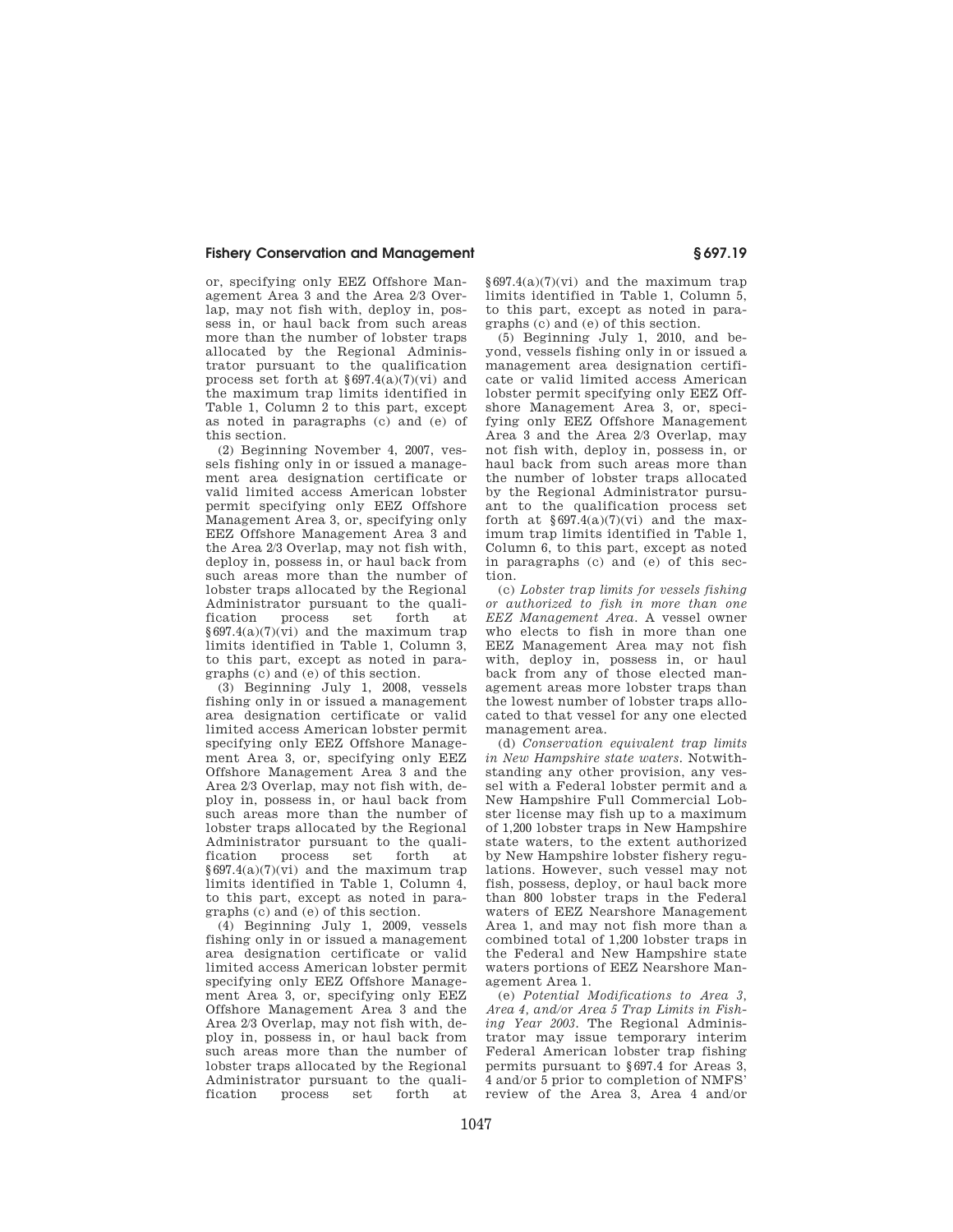## **Fishery Conservation and Management § 697.19**

or, specifying only EEZ Offshore Management Area 3 and the Area 2/3 Overlap, may not fish with, deploy in, possess in, or haul back from such areas more than the number of lobster traps allocated by the Regional Administrator pursuant to the qualification process set forth at §697.4(a)(7)(vi) and the maximum trap limits identified in Table 1, Column 2 to this part, except as noted in paragraphs (c) and (e) of this section.

(2) Beginning November 4, 2007, vessels fishing only in or issued a management area designation certificate or valid limited access American lobster permit specifying only EEZ Offshore Management Area 3, or, specifying only EEZ Offshore Management Area 3 and the Area 2/3 Overlap, may not fish with, deploy in, possess in, or haul back from such areas more than the number of lobster traps allocated by the Regional Administrator pursuant to the qualification process set forth at  $§697.4(a)(7)(vi)$  and the maximum trap limits identified in Table 1, Column 3, to this part, except as noted in paragraphs (c) and (e) of this section.

(3) Beginning July 1, 2008, vessels fishing only in or issued a management area designation certificate or valid limited access American lobster permit specifying only EEZ Offshore Management Area 3, or, specifying only EEZ Offshore Management Area 3 and the Area 2/3 Overlap, may not fish with, deploy in, possess in, or haul back from such areas more than the number of lobster traps allocated by the Regional Administrator pursuant to the quali-<br>fication process set forth at fication process set forth at  $§697.4(a)(7)(vi)$  and the maximum trap limits identified in Table 1, Column 4, to this part, except as noted in paragraphs (c) and (e) of this section.

(4) Beginning July 1, 2009, vessels fishing only in or issued a management area designation certificate or valid limited access American lobster permit specifying only EEZ Offshore Management Area 3, or, specifying only EEZ Offshore Management Area 3 and the Area 2/3 Overlap, may not fish with, deploy in, possess in, or haul back from such areas more than the number of lobster traps allocated by the Regional Administrator pursuant to the quali-<br>fication process set forth at fication process set forth at

 $§697.4(a)(7)(vi)$  and the maximum trap limits identified in Table 1, Column 5, to this part, except as noted in paragraphs (c) and (e) of this section.

(5) Beginning July 1, 2010, and beyond, vessels fishing only in or issued a management area designation certificate or valid limited access American lobster permit specifying only EEZ Offshore Management Area 3, or, specifying only EEZ Offshore Management Area 3 and the Area 2/3 Overlap, may not fish with, deploy in, possess in, or haul back from such areas more than the number of lobster traps allocated by the Regional Administrator pursuant to the qualification process set forth at  $\S 697.4(a)(7)(vi)$  and the maximum trap limits identified in Table 1, Column 6, to this part, except as noted in paragraphs (c) and (e) of this section.

(c) *Lobster trap limits for vessels fishing or authorized to fish in more than one EEZ Management Area.* A vessel owner who elects to fish in more than one EEZ Management Area may not fish with, deploy in, possess in, or haul back from any of those elected management areas more lobster traps than the lowest number of lobster traps allocated to that vessel for any one elected management area.

(d) *Conservation equivalent trap limits in New Hampshire state waters.* Notwithstanding any other provision, any vessel with a Federal lobster permit and a New Hampshire Full Commercial Lobster license may fish up to a maximum of 1,200 lobster traps in New Hampshire state waters, to the extent authorized by New Hampshire lobster fishery regulations. However, such vessel may not fish, possess, deploy, or haul back more than 800 lobster traps in the Federal waters of EEZ Nearshore Management Area 1, and may not fish more than a combined total of 1,200 lobster traps in the Federal and New Hampshire state waters portions of EEZ Nearshore Management Area 1.

(e) *Potential Modifications to Area 3, Area 4, and/or Area 5 Trap Limits in Fishing Year 2003.* The Regional Administrator may issue temporary interim Federal American lobster trap fishing permits pursuant to §697.4 for Areas 3, 4 and/or 5 prior to completion of NMFS' review of the Area 3, Area 4 and/or